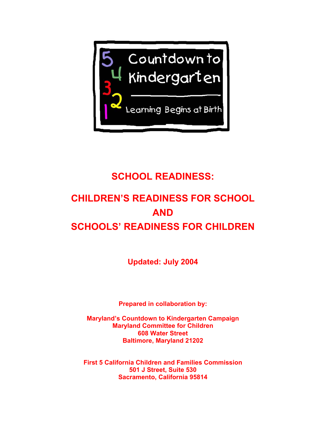

## **SCHOOL READINESS:**

# **CHILDREN'S READINESS FOR SCHOOL AND SCHOOLS' READINESS FOR CHILDREN**

**Updated: July 2004** 

**Prepared in collaboration by:** 

**Maryland's Countdown to Kindergarten Campaign Maryland Committee for Children 608 Water Street Baltimore, Maryland 21202** 

**First 5 California Children and Families Commission 501 J Street, Suite 530 Sacramento, California 95814**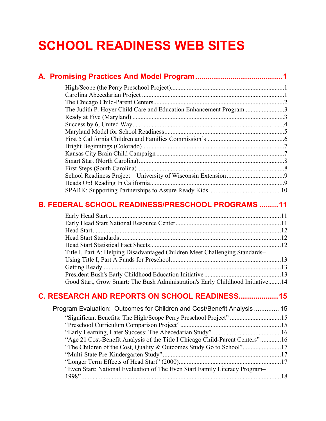# **SCHOOL READINESS WEB SITES**

| The Judith P. Hoyer Child Care and Education Enhancement Program3              |  |
|--------------------------------------------------------------------------------|--|
|                                                                                |  |
|                                                                                |  |
|                                                                                |  |
|                                                                                |  |
|                                                                                |  |
|                                                                                |  |
|                                                                                |  |
|                                                                                |  |
|                                                                                |  |
|                                                                                |  |
|                                                                                |  |
| <b>B. FEDERAL SCHOOL READINESS/PRESCHOOL PROGRAMS  11</b>                      |  |
|                                                                                |  |
|                                                                                |  |
|                                                                                |  |
|                                                                                |  |
| Title I, Part A: Helping Disadvantaged Children Meet Challenging Standards-    |  |
|                                                                                |  |
|                                                                                |  |
|                                                                                |  |
| Good Start, Grow Smart: The Bush Administration's Early Childhood Initiative14 |  |
| C. RESEARCH AND REPORTS ON SCHOOL READINESS 15                                 |  |
| Program Evaluation: Outcomes for Children and Cost/Benefit Analysis  15        |  |
| "Significant Benefits: The High/Scope Perry Preschool Project" 15              |  |
|                                                                                |  |
|                                                                                |  |
| "Age 21 Cost-Benefit Analysis of the Title I Chicago Child-Parent Centers"16   |  |

["The Children of the Cost, Quality & Outcomes Study Go to School"........................17](#page-20-0)  ["Multi-State Pre-Kindergarten Study"..........................................................................17](#page-20-0)  ["Longer Term Effects of Head Start" \(2000\)................................................................17](#page-20-0) 

[1998".............................................................................................................................18](#page-21-0) 

["Even Start: National Evaluation of The Even Start Family Literacy Program–](#page-21-0)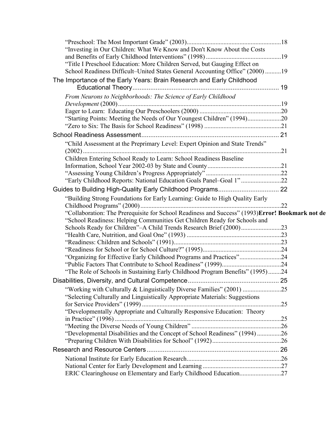| "Investing in Our Children: What We Know and Don't Know About the Costs                                                                                    |  |
|------------------------------------------------------------------------------------------------------------------------------------------------------------|--|
|                                                                                                                                                            |  |
| "Title I Preschool Education: More Children Served, but Gauging Effect on<br>School Readiness Difficult-United States General Accounting Office" (2000) 19 |  |
|                                                                                                                                                            |  |
| The Importance of the Early Years: Brain Research and Early Childhood                                                                                      |  |
| From Neurons to Neighborhoods: The Science of Early Childhood                                                                                              |  |
|                                                                                                                                                            |  |
|                                                                                                                                                            |  |
| "Starting Points: Meeting the Needs of Our Youngest Children" (1994)20                                                                                     |  |
|                                                                                                                                                            |  |
|                                                                                                                                                            |  |
| "Child Assessment at the Preprimary Level: Expert Opinion and State Trends"                                                                                |  |
|                                                                                                                                                            |  |
| Children Entering School Ready to Learn: School Readiness Baseline                                                                                         |  |
|                                                                                                                                                            |  |
|                                                                                                                                                            |  |
| "Early Childhood Reports: National Education Goals Panel-Goal 1"22                                                                                         |  |
|                                                                                                                                                            |  |
| "Building Strong Foundations for Early Learning: Guide to High Quality Early                                                                               |  |
|                                                                                                                                                            |  |
|                                                                                                                                                            |  |
| "Collaboration: The Prerequisite for School Readiness and Success" (1993) Error! Bookmark not de                                                           |  |
| "School Readiness: Helping Communities Get Children Ready for Schools and                                                                                  |  |
| Schools Ready for Children"-A Child Trends Research Brief (2000)23                                                                                         |  |
|                                                                                                                                                            |  |
|                                                                                                                                                            |  |
|                                                                                                                                                            |  |
| "Organizing for Effective Early Childhood Programs and Practices"24                                                                                        |  |
|                                                                                                                                                            |  |
| "The Role of Schools in Sustaining Early Childhood Program Benefits" (1995)24                                                                              |  |
|                                                                                                                                                            |  |
|                                                                                                                                                            |  |
| "Selecting Culturally and Linguistically Appropriate Materials: Suggestions                                                                                |  |
| "Developmentally Appropriate and Culturally Responsive Education: Theory                                                                                   |  |
|                                                                                                                                                            |  |
|                                                                                                                                                            |  |
| "Developmental Disabilities and the Concept of School Readiness" (1994)26                                                                                  |  |
|                                                                                                                                                            |  |
|                                                                                                                                                            |  |
|                                                                                                                                                            |  |
| ERIC Clearinghouse on Elementary and Early Childhood Education27                                                                                           |  |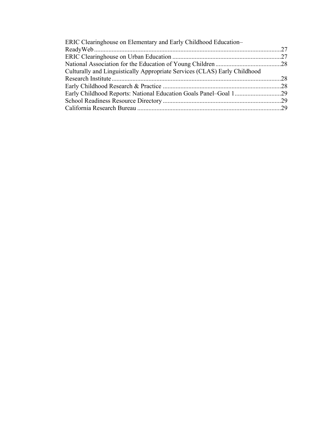| ERIC Clearinghouse on Elementary and Early Childhood Education-           |  |
|---------------------------------------------------------------------------|--|
|                                                                           |  |
|                                                                           |  |
|                                                                           |  |
| Culturally and Linguistically Appropriate Services (CLAS) Early Childhood |  |
|                                                                           |  |
|                                                                           |  |
|                                                                           |  |
|                                                                           |  |
|                                                                           |  |
|                                                                           |  |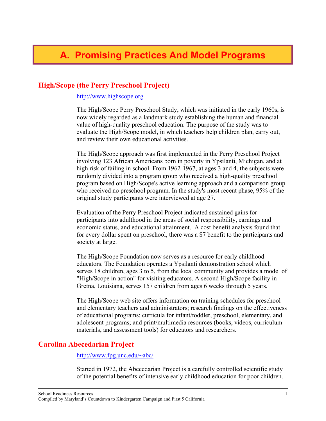## <span id="page-4-0"></span>**High/Scope (the Perry Preschool Project)**

[http://www.highscope.org](http://www.highscope.org/)

The High/Scope Perry Preschool Study, which was initiated in the early 1960s, is now widely regarded as a landmark study establishing the human and financial value of high-quality preschool education. The purpose of the study was to evaluate the High/Scope model, in which teachers help children plan, carry out, and review their own educational activities.

The High/Scope approach was first implemented in the Perry Preschool Project involving 123 African Americans born in poverty in Ypsilanti, Michigan, and at high risk of failing in school. From 1962-1967, at ages 3 and 4, the subjects were randomly divided into a program group who received a high-quality preschool program based on High/Scope's active learning approach and a comparison group who received no preschool program. In the study's most recent phase, 95% of the original study participants were interviewed at age 27.

Evaluation of the Perry Preschool Project indicated sustained gains for participants into adulthood in the areas of social responsibility, earnings and economic status, and educational attainment. A cost benefit analysis found that for every dollar spent on preschool, there was a \$7 benefit to the participants and society at large.

The High/Scope Foundation now serves as a resource for early childhood educators. The Foundation operates a Ypsilanti demonstration school which serves 18 children, ages 3 to 5, from the local community and provides a model of "High/Scope in action" for visiting educators. A second High/Scope facility in Gretna, Louisiana, serves 157 children from ages 6 weeks through 5 years.

The High/Scope web site offers information on training schedules for preschool and elementary teachers and administrators; research findings on the effectiveness of educational programs; curricula for infant/toddler, preschool, elementary, and adolescent programs; and print/multimedia resources (books, videos, curriculum materials, and assessment tools) for educators and researchers.

## **Carolina Abecedarian Project**

#### <http://www.fpg.unc.edu/~abc/>

Started in 1972, the Abecedarian Project is a carefully controlled scientific study of the potential benefits of intensive early childhood education for poor children.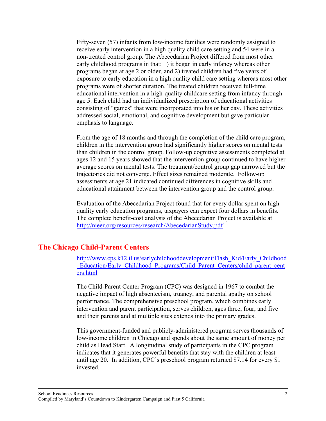<span id="page-5-0"></span>Fifty-seven (57) infants from low-income families were randomly assigned to receive early intervention in a high quality child care setting and 54 were in a non-treated control group. The Abecedarian Project differed from most other early childhood programs in that: 1) it began in early infancy whereas other programs began at age 2 or older, and 2) treated children had five years of exposure to early education in a high quality child care setting whereas most other programs were of shorter duration. The treated children received full-time educational intervention in a high-quality childcare setting from infancy through age 5. Each child had an individualized prescription of educational activities consisting of "games" that were incorporated into his or her day. These activities addressed social, emotional, and cognitive development but gave particular emphasis to language.

From the age of 18 months and through the completion of the child care program, children in the intervention group had significantly higher scores on mental tests than children in the control group. Follow-up cognitive assessments completed at ages 12 and 15 years showed that the intervention group continued to have higher average scores on mental tests. The treatment/control group gap narrowed but the trajectories did not converge. Effect sizes remained moderate. Follow-up assessments at age 21 indicated continued differences in cognitive skills and educational attainment between the intervention group and the control group.

Evaluation of the Abecedarian Project found that for every dollar spent on highquality early education programs, taxpayers can expect four dollars in benefits. The complete benefit-cost analysis of the Abecedarian Project is available at <http://nieer.org/resources/research/AbecedarianStudy.pdf>

#### **The Chicago Child-Parent Centers**

[http://www.cps.k12.il.us/earlychildhooddevelopment/Flash\\_Kid/Early\\_Childhood](http://www.cps.k12.il.us/earlychildhooddevelopment/Flash_Kid/Early_Childhood_Education/Early_Childhood_Programs/Child_Parent_Centers/child_parent_centers.html) Education/Early\_Childhood\_Programs/Child\_Parent\_Centers/child\_parent\_cent [ers.html](http://www.cps.k12.il.us/earlychildhooddevelopment/Flash_Kid/Early_Childhood_Education/Early_Childhood_Programs/Child_Parent_Centers/child_parent_centers.html)

The Child-Parent Center Program (CPC) was designed in 1967 to combat the negative impact of high absenteeism, truancy, and parental apathy on school performance. The comprehensive preschool program, which combines early intervention and parent participation, serves children, ages three, four, and five and their parents and at multiple sites extends into the primary grades.

This government-funded and publicly-administered program serves thousands of low-income children in Chicago and spends about the same amount of money per child as Head Start. A longitudinal study of participants in the CPC program indicates that it generates powerful benefits that stay with the children at least until age 20. In addition, CPC's preschool program returned \$7.14 for every \$1 invested.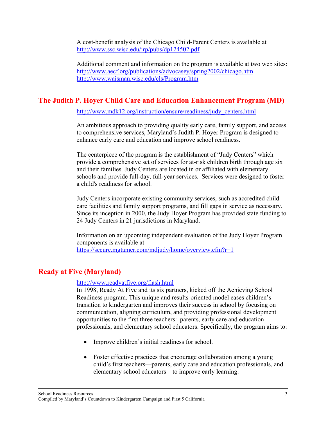<span id="page-6-0"></span>A cost-benefit analysis of the Chicago Child-Parent Centers is available at <http://www.ssc.wisc.edu/irp/pubs/dp124502.pdf>

Additional comment and information on the program is available at two web sites: <http://www.aecf.org/publications/advocasey/spring2002/chicago.htm> <http://www.waisman.wisc.edu/cls/Program.htm>

## **The Judith P. Hoyer Child Care and Education Enhancement Program (MD)**

[http://www.mdk12.org/instruction/ensure/readiness/judy\\_centers.html](http://www.mdk12.org/instruction/ensure/readiness/judy_centers.html)

An ambitious approach to providing quality early care, family support, and access to comprehensive services, Maryland's Judith P. Hoyer Program is designed to enhance early care and education and improve school readiness.

The centerpiece of the program is the establishment of "Judy Centers" which provide a comprehensive set of services for at-risk children birth through age six and their families. Judy Centers are located in or affiliated with elementary schools and provide full-day, full-year services. Services were designed to foster a child's readiness for school.

Judy Centers incorporate existing community services, such as accredited child care facilities and family support programs, and fill gaps in service as necessary. Since its inception in 2000, the Judy Hoyer Program has provided state funding to 24 Judy Centers in 21 jurisdictions in Maryland.

Information on an upcoming independent evaluation of the Judy Hoyer Program components is available at <https://secure.mgtamer.com/mdjudy/home/overview.cfm?r=1>

## **Ready at Five (Maryland)**

#### <http://www.readyatfive.org/flash.html>

In 1998, Ready At Five and its six partners, kicked off the Achieving School Readiness program. This unique and results-oriented model eases children's transition to kindergarten and improves their success in school by focusing on communication, aligning curriculum, and providing professional development opportunities to the first three teachers: parents, early care and education professionals, and elementary school educators. Specifically, the program aims to:

- Improve children's initial readiness for school.
- Foster effective practices that encourage collaboration among a young child's first teachers—parents, early care and education professionals, and elementary school educators—to improve early learning.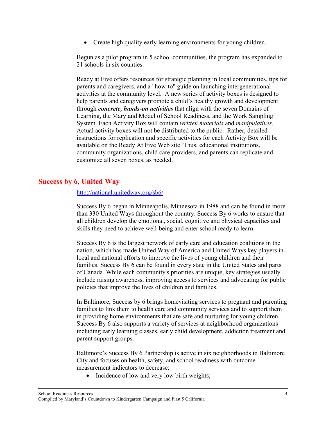<span id="page-7-0"></span>• Create high quality early learning environments for young children.

Begun as a pilot program in 5 school communities, the program has expanded to 21 schools in six counties.

Ready at Five offers resources for strategic planning in local communities, tips for parents and caregivers, and a "how-to" guide on launching intergenerational activities at the community level. A new series of activity boxes is designed to help parents and caregivers promote a child's healthy growth and development through *concrete, hands-on activities* that align with the seven Domains of Learning, the Maryland Model of School Readiness, and the Work Sampling System. Each Activity Box will contain *written materials* and *manipulatives*. Actual activity boxes will not be distributed to the public. Rather, detailed instructions for replication and specific activities for each Activity Box will be available on the Ready At Five Web site. Thus, educational institutions, community organizations, child care providers, and parents can replicate and customize all seven boxes, as needed.

## **Success by 6, United Way**

<http://national.unitedway.org/sb6/>

Success By 6 began in Minneapolis, Minnesota in 1988 and can be found in more than 330 United Ways throughout the country. Success By 6 works to ensure that all children develop the emotional, social, cognitive and physical capacities and skills they need to achieve well-being and enter school ready to learn.

Success By 6 is the largest network of early care and education coalitions in the nation, which has made United Way of America and United Ways key players in local and national efforts to improve the lives of young children and their families. Success By 6 can be found in every state in the United States and parts of Canada. While each community's priorities are unique, key strategies usually include raising awareness, improving access to services and advocating for public policies that improve the lives of children and families.

In Baltimore, Success by 6 brings homevisiting services to pregnant and parenting families to link them to health care and community services and to support them in providing home environments that are safe and nurturing for young children. Success By 6 also supports a variety of services at neighborhood organizations including early learning classes, early child development, addiction treatment and parent support groups.

Baltimore's Success By 6 Partnership is active in six neighborhoods in Baltimore City and focuses on health, safety, and school readiness with outcome measurement indicators to decrease:

• Incidence of low and very low birth weights;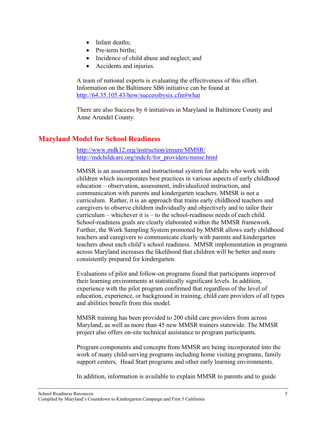- <span id="page-8-0"></span>• Infant deaths:
- Pre-term births;
- Incidence of child abuse and neglect; and
- Accidents and injuries.

A team of national experts is evaluating the effectiveness of this effort. Information on the Baltimore SB6 initiative can be found at [http://64.35.105.43/how/successbysix.cfm#what](http://64.35.105.43/how/successbysix.cfm)

There are also Success by 6 initiatives in Maryland in Baltimore County and Anne Arundel County.

## **Maryland Model for School Readiness**

<http://www.mdk12.org/instruction/ensure/MMSR/> [http://mdchildcare.org/mdcfc/for\\_providers/mmsr.html](http://mdchildcare.org/mdcfc/for_providers/mmsr.html)

MMSR is an assessment and instructional system for adults who work with children which incorporates best practices in various aspects of early childhood education – observation, assessment, individualized instruction, and communication with parents and kindergarten teachers. MMSR is not a curriculum. Rather, it is an approach that trains early childhood teachers and caregivers to observe children individually and objectively and to tailor their curriculum – whichever it is – to the school-readiness needs of each child. School-readiness goals are clearly elaborated within the MMSR framework. Further, the Work Sampling System promoted by MMSR allows early childhood teachers and caregivers to communicate clearly with parents and kindergarten teachers about each child's school readiness. MMSR implementation in programs across Maryland increases the likelihood that children will be better and more consistently prepared for kindergarten.

Evaluations of pilot and follow-on programs found that participants improved their learning environments at statistically significant levels. In addition, experience with the pilot program confirmed that regardless of the level of education, experience, or background in training, child care providers of all types and abilities benefit from this model.

MMSR training has been provided to 200 child care providers from across Maryland, as well as more than 45 new MMSR trainers statewide. The MMSR project also offers on-site technical assistance to program participants.

Program components and concepts from MMSR are being incorporated into the work of many child-serving programs including home visiting programs, family support centers, Head Start programs and other early learning environments.

In addition, information is available to explain MMSR to parents and to guide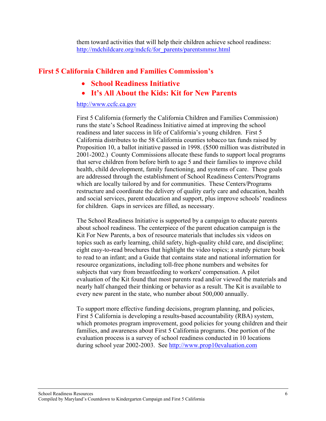them toward activities that will help their children achieve school readiness: [http://mdchildcare.org/mdcfc/for\\_parents/parentsmmsr.html](http://mdchildcare.org/mdcfc/for_parents/parentsmmsr.html)

## <span id="page-9-0"></span>**First 5 California Children and Families Commission's**

- **School Readiness Initiative**
- **It's All About the Kids: Kit for New Parents**

#### [http://www.ccfc.ca.gov](http://www.ccfc.ca.gov/parentinfo.htm)

First 5 California (formerly the California Children and Families Commission) runs the state's School Readiness Initiative aimed at improving the school readiness and later success in life of California's young children. First 5 California distributes to the 58 California counties tobacco tax funds raised by Proposition 10, a ballot initiative passed in 1998. (\$500 million was distributed in 2001-2002.) County Commissions allocate these funds to support local programs that serve children from before birth to age 5 and their families to improve child health, child development, family functioning, and systems of care. These goals are addressed through the establishment of School Readiness Centers/Programs which are locally tailored by and for communities. These Centers/Programs restructure and coordinate the delivery of quality early care and education, health and social services, parent education and support, plus improve schools' readiness for children. Gaps in services are filled, as necessary.

The School Readiness Initiative is supported by a campaign to educate parents about school readiness. The centerpiece of the parent education campaign is the Kit For New Parents, a box of resource materials that includes six videos on topics such as early learning, child safety, high-quality child care, and discipline; eight easy-to-read brochures that highlight the video topics; a sturdy picture book to read to an infant; and a Guide that contains state and national information for resource organizations, including toll-free phone numbers and websites for subjects that vary from breastfeeding to workers' compensation. A pilot evaluation of the Kit found that most parents read and/or viewed the materials and nearly half changed their thinking or behavior as a result. The Kit is available to every new parent in the state, who number about 500,000 annually.

To support more effective funding decisions, program planning, and policies, First 5 California is developing a results-based accountability (RBA) system, which promotes program improvement, good policies for young children and their families, and awareness about First 5 California programs. One portion of the evaluation process is a survey of school readiness conducted in 10 locations during school year 2002-2003. See [http://www.prop10evaluation.com](http://www.prop10evaluation.com/)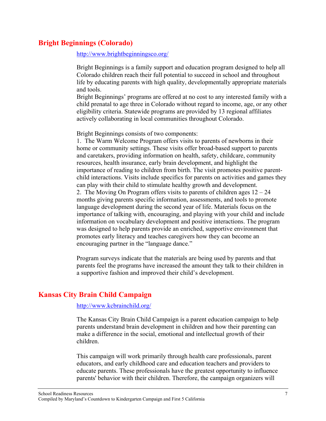## <span id="page-10-0"></span>**Bright Beginnings (Colorado)**

<http://www.brightbeginningsco.org/>

Bright Beginnings is a family support and education program designed to help all Colorado children reach their full potential to succeed in school and throughout life by educating parents with high quality, developmentally appropriate materials and tools.

Bright Beginnings' programs are offered at no cost to any interested family with a child prenatal to age three in Colorado without regard to income, age, or any other eligibility criteria. Statewide programs are provided by 13 regional affiliates actively collaborating in local communities throughout Colorado.

Bright Beginnings consists of two components:

1. The Warm Welcome Program offers visits to parents of newborns in their home or community settings. These visits offer broad-based support to parents and caretakers, providing information on health, safety, childcare, community resources, health insurance, early brain development, and highlight the importance of reading to children from birth. The visit promotes positive parentchild interactions. Visits include specifics for parents on activities and games they can play with their child to stimulate healthy growth and development.

2. The Moving On Program offers visits to parents of children ages  $12 - 24$ months giving parents specific information, assessments, and tools to promote language development during the second year of life. Materials focus on the importance of talking with, encouraging, and playing with your child and include information on vocabulary development and positive interactions. The program was designed to help parents provide an enriched, supportive environment that promotes early literacy and teaches caregivers how they can become an encouraging partner in the "language dance."

Program surveys indicate that the materials are being used by parents and that parents feel the programs have increased the amount they talk to their children in a supportive fashion and improved their child's development.

## **Kansas City Brain Child Campaign**

#### <http://www.kcbrainchild.org/>

The Kansas City Brain Child Campaign is a parent education campaign to help parents understand brain development in children and how their parenting can make a difference in the social, emotional and intellectual growth of their children.

This campaign will work primarily through health care professionals, parent educators, and early childhood care and education teachers and providers to educate parents. These professionals have the greatest opportunity to influence parents' behavior with their children. Therefore, the campaign organizers will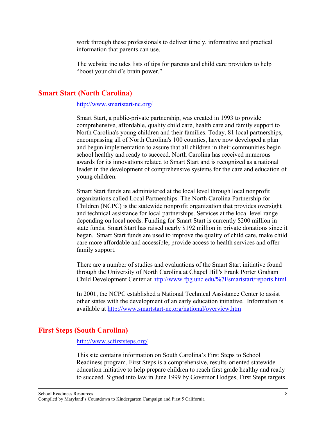<span id="page-11-0"></span>work through these professionals to deliver timely, informative and practical information that parents can use.

The website includes lists of tips for parents and child care providers to help "boost your child's brain power."

## **Smart Start (North Carolina)**

#### <http://www.smartstart-nc.org/>

Smart Start, a public-private partnership, was created in 1993 to provide comprehensive, affordable, quality child care, health care and family support to North Carolina's young children and their families. Today, 81 local partnerships, encompassing all of North Carolina's 100 counties, have now developed a plan and begun implementation to assure that all children in their communities begin school healthy and ready to succeed. North Carolina has received numerous awards for its innovations related to Smart Start and is recognized as a national leader in the development of comprehensive systems for the care and education of young children.

Smart Start funds are administered at the local level through local nonprofit organizations called Local Partnerships. The North Carolina Partnership for Children (NCPC) is the statewide nonprofit organization that provides oversight and technical assistance for local partnerships. Services at the local level range depending on local needs. Funding for Smart Start is currently \$200 million in state funds. Smart Start has raised nearly \$192 million in private donations since it began. Smart Start funds are used to improve the quality of child care, make child care more affordable and accessible, provide access to health services and offer family support.

There are a number of studies and evaluations of the Smart Start initiative found through the University of North Carolina at Chapel Hill's Frank Porter Graham Child Development Center at<http://www.fpg.unc.edu/%7Esmartstart/reports.html>

In 2001, the NCPC established a National Technical Assistance Center to assist other states with the development of an early education initiative. Information is available at<http://www.smartstart-nc.org/national/overview.htm>

## **First Steps (South Carolina)**

#### <http://www.scfirststeps.org/>

This site contains information on South Carolina's First Steps to School Readiness program. First Steps is a comprehensive, results-oriented statewide education initiative to help prepare children to reach first grade healthy and ready to succeed. Signed into law in June 1999 by Governor Hodges, First Steps targets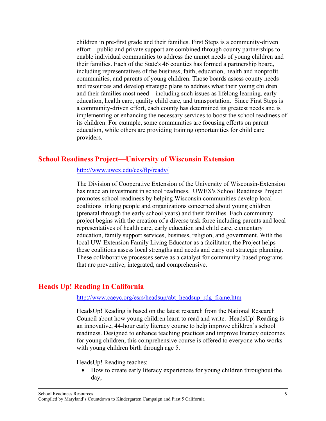<span id="page-12-0"></span>children in pre-first grade and their families. First Steps is a community-driven effort—public and private support are combined through county partnerships to enable individual communities to address the unmet needs of young children and their families. Each of the State's 46 counties has formed a partnership board, including representatives of the business, faith, education, health and nonprofit communities, and parents of young children. Those boards assess county needs and resources and develop strategic plans to address what their young children and their families most need—including such issues as lifelong learning, early education, health care, quality child care, and transportation. Since First Steps is a community-driven effort, each county has determined its greatest needs and is implementing or enhancing the necessary services to boost the school readiness of its children. For example, some communities are focusing efforts on parent education, while others are providing training opportunities for child care providers.

#### **School Readiness Project—University of Wisconsin Extension**

<http://www.uwex.edu/ces/flp/ready/>

The Division of Cooperative Extension of the University of Wisconsin-Extension has made an investment in school readiness. UWEX's School Readiness Project promotes school readiness by helping Wisconsin communities develop local coalitions linking people and organizations concerned about young children (prenatal through the early school years) and their families. Each community project begins with the creation of a diverse task force including parents and local representatives of health care, early education and child care, elementary education, family support services, business, religion, and government. With the local UW-Extension Family Living Educator as a facilitator, the Project helps these coalitions assess local strengths and needs and carry out strategic planning. These collaborative processes serve as a catalyst for community-based programs that are preventive, integrated, and comprehensive.

## **Heads Up! Reading In California**

http://www.caeyc.org/esrs/headsup/abt\_headsup\_rdg\_frame.htm

HeadsUp! Reading is based on the latest research from the National Research Council about how young children learn to read and write. HeadsUp! Reading is an innovative, 44-hour early literacy course to help improve children's school readiness. Designed to enhance teaching practices and improve literacy outcomes for young children, this comprehensive course is offered to everyone who works with young children birth through age 5.

HeadsUp! Reading teaches:

• How to create early literacy experiences for young children throughout the day,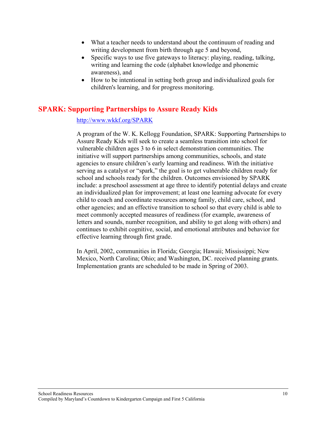- <span id="page-13-0"></span>• What a teacher needs to understand about the continuum of reading and writing development from birth through age 5 and beyond,
- Specific ways to use five gateways to literacy: playing, reading, talking, writing and learning the code (alphabet knowledge and phonemic awareness), and
- How to be intentional in setting both group and individualized goals for children's learning, and for progress monitoring.

## **SPARK: Supporting Partnerships to Assure Ready Kids**

#### <http://www.wkkf.org/SPARK>

A program of the W. K. Kellogg Foundation, SPARK: Supporting Partnerships to Assure Ready Kids will seek to create a seamless transition into school for vulnerable children ages 3 to 6 in select demonstration communities. The initiative will support partnerships among communities, schools, and state agencies to ensure children's early learning and readiness. With the initiative serving as a catalyst or "spark," the goal is to get vulnerable children ready for school and schools ready for the children. Outcomes envisioned by SPARK include: a preschool assessment at age three to identify potential delays and create an individualized plan for improvement; at least one learning advocate for every child to coach and coordinate resources among family, child care, school, and other agencies; and an effective transition to school so that every child is able to meet commonly accepted measures of readiness (for example, awareness of letters and sounds, number recognition, and ability to get along with others) and continues to exhibit cognitive, social, and emotional attributes and behavior for effective learning through first grade.

In April, 2002, communities in Florida; Georgia; Hawaii; Mississippi; New Mexico, North Carolina; Ohio; and Washington, DC. received planning grants. Implementation grants are scheduled to be made in Spring of 2003.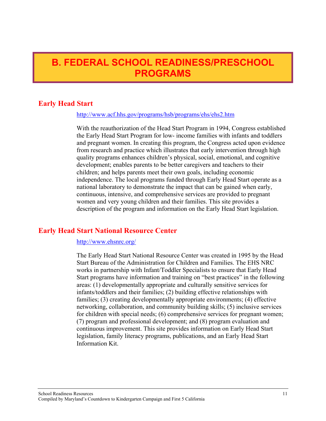## <span id="page-14-0"></span>**B. FEDERAL SCHOOL READINESS/PRESCHOOL PROGRAMS**

## **Early Head Start**

#### <http://www.acf.hhs.gov/programs/hsb/programs/ehs/ehs2.htm>

With the reauthorization of the Head Start Program in 1994, Congress established the Early Head Start Program for low- income families with infants and toddlers and pregnant women. In creating this program, the Congress acted upon evidence from research and practice which illustrates that early intervention through high quality programs enhances children's physical, social, emotional, and cognitive development; enables parents to be better caregivers and teachers to their children; and helps parents meet their own goals, including economic independence. The local programs funded through Early Head Start operate as a national laboratory to demonstrate the impact that can be gained when early, continuous, intensive, and comprehensive services are provided to pregnant women and very young children and their families. This site provides a description of the program and information on the Early Head Start legislation.

## **Early Head Start National Resource Center**

#### <http://www.ehsnrc.org/>

The Early Head Start National Resource Center was created in 1995 by the Head Start Bureau of the Administration for Children and Families. The EHS NRC works in partnership with Infant/Toddler Specialists to ensure that Early Head Start programs have information and training on "best practices" in the following areas: (1) developmentally appropriate and culturally sensitive services for infants/toddlers and their families; (2) building effective relationships with families; (3) creating developmentally appropriate environments; (4) effective networking, collaboration, and community building skills; (5) inclusive services for children with special needs; (6) comprehensive services for pregnant women; (7) program and professional development; and (8) program evaluation and continuous improvement. This site provides information on Early Head Start legislation, family literacy programs, publications, and an Early Head Start Information Kit.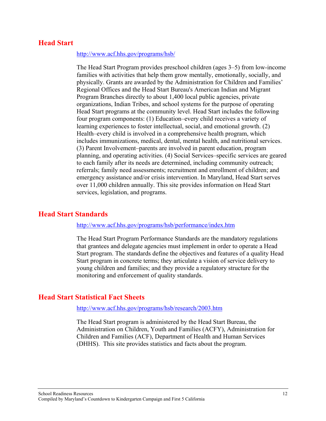#### <span id="page-15-0"></span>**Head Start**

#### <http://www.acf.hhs.gov/programs/hsb/>

The Head Start Program provides preschool children (ages 3–5) from low-income families with activities that help them grow mentally, emotionally, socially, and physically. Grants are awarded by the Administration for Children and Families' Regional Offices and the Head Start Bureau's American Indian and Migrant Program Branches directly to about 1,400 local public agencies, private organizations, Indian Tribes, and school systems for the purpose of operating Head Start programs at the community level. Head Start includes the following four program components: (1) Education–every child receives a variety of learning experiences to foster intellectual, social, and emotional growth. (2) Health–every child is involved in a comprehensive health program, which includes immunizations, medical, dental, mental health, and nutritional services. (3) Parent Involvement–parents are involved in parent education, program planning, and operating activities. (4) Social Services–specific services are geared to each family after its needs are determined, including community outreach; referrals; family need assessments; recruitment and enrollment of children; and emergency assistance and/or crisis intervention. In Maryland, Head Start serves over 11,000 children annually. This site provides information on Head Start services, legislation, and programs.

## **Head Start Standards**

#### <http://www.acf.hhs.gov/programs/hsb/performance/index.htm>

The Head Start Program Performance Standards are the mandatory regulations that grantees and delegate agencies must implement in order to operate a Head Start program. The standards define the objectives and features of a quality Head Start program in concrete terms; they articulate a vision of service delivery to young children and families; and they provide a regulatory structure for the monitoring and enforcement of quality standards.

#### **Head Start Statistical Fact Sheets**

#### <http://www.acf.hhs.gov/programs/hsb/research/2003.htm>

The Head Start program is administered by the Head Start Bureau, the Administration on Children, Youth and Families (ACFY), Administration for Children and Families (ACF), Department of Health and Human Services (DHHS). This site provides statistics and facts about the program.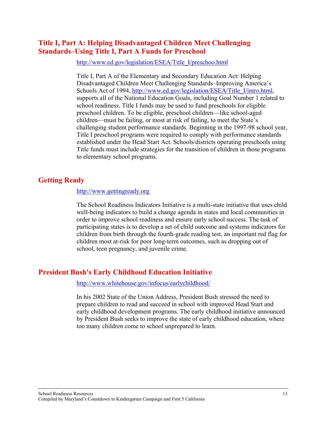## <span id="page-16-0"></span>**Title I, Part A: Helping Disadvantaged Children Meet Challenging Standards–Using Title I, Part A Funds for Preschool**

[http://www.ed.gov/legislation/ESEA/Title\\_I/preschoo.html](http://www.ed.gov/legislation/ESEA/Title_I/preschoo.html)

Title I, Part A of the Elementary and Secondary Education Act: Helping Disadvantaged Children Meet Challenging Standards–Improving America's Schools Act of 1994, http://www.ed.gov/legislation/ESEA/Title I/intro.html, supports all of the National Education Goals, including Goal Number 1 related to school readiness. Title I funds may be used to fund preschools for eligible preschool children. To be eligible, preschool children—like school-aged children—must be failing, or most at risk of failing, to meet the State's challenging student performance standards. Beginning in the 1997-98 school year, Title I preschool programs were required to comply with performance standards established under the Head Start Act. Schools/districts operating preschools using Title funds must include strategies for the transition of children in those programs to elementary school programs.

## **Getting Ready**

#### [http://www.gettingready.org](http://www.gettingready.org/)

The School Readiness Indicators Initiative is a multi-state initiative that uses child well-being indicators to build a change agenda in states and local communities in order to improve school readiness and ensure early school success. The task of participating states is to develop a set of child outcome and systems indicators for children from birth through the fourth-grade reading test, an important red flag for children most at-risk for poor long-term outcomes, such as dropping out of school, teen pregnancy, and juvenile crime.

## **President Bush's Early Childhood Education Initiative**

#### <http://www.whitehouse.gov/infocus/earlychildhood/>

In his 2002 State of the Union Address, President Bush stressed the need to prepare children to read and succeed in school with improved Head Start and early childhood development programs. The early childhood initiative announced by President Bush seeks to improve the state of early childhood education, where too many children come to school unprepared to learn.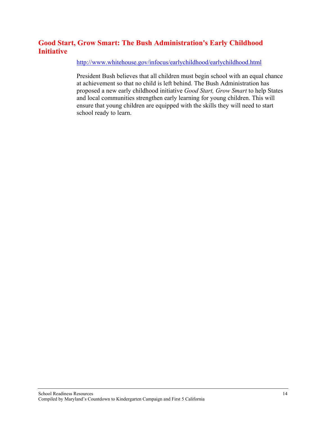## <span id="page-17-0"></span>**Good Start, Grow Smart: The Bush Administration's Early Childhood Initiative**

<http://www.whitehouse.gov/infocus/earlychildhood/earlychildhood.html>

President Bush believes that all children must begin school with an equal chance at achievement so that no child is left behind. The Bush Administration has proposed a new early childhood initiative *Good Start, Grow Smart* to help States and local communities strengthen early learning for young children. This will ensure that young children are equipped with the skills they will need to start school ready to learn.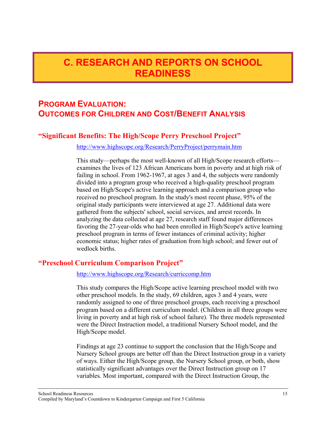## <span id="page-18-0"></span>**C. RESEARCH AND REPORTS ON SCHOOL READINESS**

## **PROGRAM EVALUATION: OUTCOMES FOR CHILDREN AND COST/BENEFIT ANALYSIS**

## **"Significant Benefits: The High/Scope Perry Preschool Project"**

<http://www.highscope.org/Research/PerryProject/perrymain.htm>

This study—perhaps the most well-known of all High/Scope research efforts examines the lives of 123 African Americans born in poverty and at high risk of failing in school. From 1962-1967, at ages 3 and 4, the subjects were randomly divided into a program group who received a high-quality preschool program based on High/Scope's active learning approach and a comparison group who received no preschool program. In the study's most recent phase, 95% of the original study participants were interviewed at age 27. Additional data were gathered from the subjects' school, social services, and arrest records. In analyzing the data collected at age 27, research staff found major differences favoring the 27-year-olds who had been enrolled in High/Scope's active learning preschool program in terms of fewer instances of criminal activity; higher economic status; higher rates of graduation from high school; and fewer out of wedlock births.

## **"Preschool Curriculum Comparison Project"**

<http://www.highscope.org/Research/curriccomp.htm>

This study compares the High/Scope active learning preschool model with two other preschool models. In the study, 69 children, ages 3 and 4 years, were randomly assigned to one of three preschool groups, each receiving a preschool program based on a different curriculum model. (Children in all three groups were living in poverty and at high risk of school failure). The three models represented were the Direct Instruction model, a traditional Nursery School model, and the High/Scope model.

Findings at age 23 continue to support the conclusion that the High/Scope and Nursery School groups are better off than the Direct Instruction group in a variety of ways. Either the High/Scope group, the Nursery School group, or both, show statistically significant advantages over the Direct Instruction group on 17 variables. Most important, compared with the Direct Instruction Group, the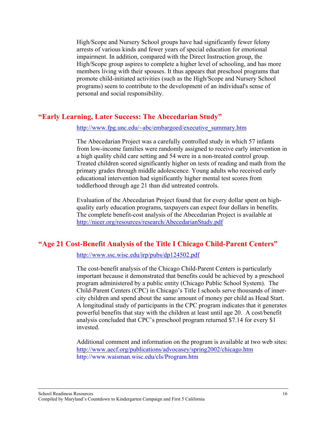<span id="page-19-0"></span>High/Scope and Nursery School groups have had significantly fewer felony arrests of various kinds and fewer years of special education for emotional impairment. In addition, compared with the Direct Instruction group, the High/Scope group aspires to complete a higher level of schooling, and has more members living with their spouses. It thus appears that preschool programs that promote child-initiated activities (such as the High/Scope and Nursery School programs) seem to contribute to the development of an individual's sense of personal and social responsibility.

## **"Early Learning, Later Success: The Abecedarian Study"**

[http://www.fpg.unc.edu/~abc/embargoed/executive\\_summary.htm](http://www.fpg.unc.edu/~abc/embargoed/executive_summary.htm)

The Abecedarian Project was a carefully controlled study in which 57 infants from low-income families were randomly assigned to receive early intervention in a high quality child care setting and 54 were in a non-treated control group. Treated children scored significantly higher on tests of reading and math from the primary grades through middle adolescence. Young adults who received early educational intervention had significantly higher mental test scores from toddlerhood through age 21 than did untreated controls.

Evaluation of the Abecedarian Project found that for every dollar spent on highquality early education programs, taxpayers can expect four dollars in benefits. The complete benefit-cost analysis of the Abecedarian Project is available at <http://nieer.org/resources/research/AbecedarianStudy.pdf>

## **"Age 21 Cost-Benefit Analysis of the Title I Chicago Child-Parent Centers"**

<http://www.ssc.wisc.edu/irp/pubs/dp124502.pdf>

The cost-benefit analysis of the Chicago Child-Parent Centers is particularly important because it demonstrated that benefits could be achieved by a preschool program administered by a public entity (Chicago Public School System). The Child-Parent Centers (CPC) in Chicago's Title I schools serve thousands of innercity children and spend about the same amount of money per child as Head Start. A longitudinal study of participants in the CPC program indicates that it generates powerful benefits that stay with the children at least until age 20. A cost/benefit analysis concluded that CPC's preschool program returned \$7.14 for every \$1 invested.

Additional comment and information on the program is available at two web sites: <http://www.aecf.org/publications/advocasey/spring2002/chicago.htm> http://www.waisman.wisc.edu/cls/Program.htm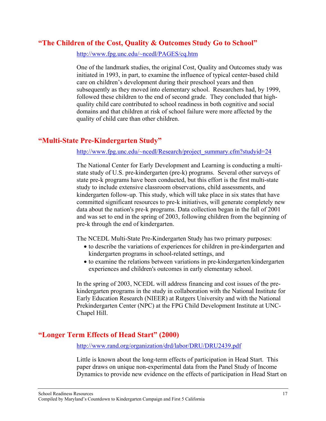## <span id="page-20-0"></span>**"The Children of the Cost, Quality & Outcomes Study Go to School"**

<http://www.fpg.unc.edu/~ncedl/PAGES/cq.htm>

One of the landmark studies, the original Cost, Quality and Outcomes study was initiated in 1993, in part, to examine the influence of typical center-based child care on children's development during their preschool years and then subsequently as they moved into elementary school. Researchers had, by 1999, followed these children to the end of second grade. They concluded that highquality child care contributed to school readiness in both cognitive and social domains and that children at risk of school failure were more affected by the quality of child care than other children.

## **"Multi-State Pre-Kindergarten Study"**

#### [http://www.fpg.unc.edu/~ncedl/Research/project\\_summary.cfm?studyid=24](http://www.fpg.unc.edu/~ncedl/Research/project_summary.cfm?studyid=24)

The National Center for Early Development and Learning is conducting a multistate study of U.S. pre-kindergarten (pre-k) programs. Several other surveys of state pre-k programs have been conducted, but this effort is the first multi-state study to include extensive classroom observations, child assessments, and kindergarten follow-up. This study, which will take place in six states that have committed significant resources to pre-k initiatives, will generate completely new data about the nation's pre-k programs. Data collection began in the fall of 2001 and was set to end in the spring of 2003, following children from the beginning of pre-k through the end of kindergarten.

The NCEDL Multi-State Pre-Kindergarten Study has two primary purposes:

- to describe the variations of experiences for children in pre-kindergarten and kindergarten programs in school-related settings, and
- to examine the relations between variations in pre-kindergarten/kindergarten experiences and children's outcomes in early elementary school.

In the spring of 2003, NCEDL will address financing and cost issues of the prekindergarten programs in the study in collaboration with the National Institute for Early Education Research (NIEER) at Rutgers University and with the National Prekindergarten Center (NPC) at the FPG Child Development Institute at UNC-Chapel Hill.

## **"Longer Term Effects of Head Start" (2000)**

<http://www.rand.org/organization/drd/labor/DRU/DRU2439.pdf>

Little is known about the long-term effects of participation in Head Start. This paper draws on unique non-experimental data from the Panel Study of Income Dynamics to provide new evidence on the effects of participation in Head Start on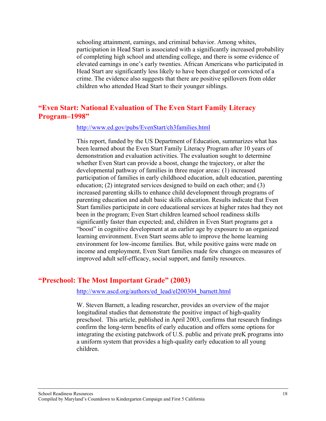<span id="page-21-0"></span>schooling attainment, earnings, and criminal behavior. Among whites, participation in Head Start is associated with a significantly increased probability of completing high school and attending college, and there is some evidence of elevated earnings in one's early twenties. African Americans who participated in Head Start are significantly less likely to have been charged or convicted of a crime. The evidence also suggests that there are positive spillovers from older children who attended Head Start to their younger siblings.

## **"Even Start: National Evaluation of The Even Start Family Literacy Program–1998"**

#### <http://www.ed.gov/pubs/EvenStart/ch3families.html>

This report, funded by the US Department of Education, summarizes what has been learned about the Even Start Family Literacy Program after 10 years of demonstration and evaluation activities. The evaluation sought to determine whether Even Start can provide a boost, change the trajectory, or alter the developmental pathway of families in three major areas: (1) increased participation of families in early childhood education, adult education, parenting education; (2) integrated services designed to build on each other; and (3) increased parenting skills to enhance child development through programs of parenting education and adult basic skills education. Results indicate that Even Start families participate in core educational services at higher rates had they not been in the program; Even Start children learned school readiness skills significantly faster than expected; and, children in Even Start programs get a "boost" in cognitive development at an earlier age by exposure to an organized learning environment. Even Start seems able to improve the home learning environment for low-income families. But, while positive gains were made on income and employment, Even Start families made few changes on measures of improved adult self-efficacy, social support, and family resources.

#### **"Preschool: The Most Important Grade" (2003)**

#### [http://www.ascd.org/authors/ed\\_lead/el200304\\_barnett.html](http://www.ascd.org/authors/ed_lead/el200304_barnett.html)

W. Steven Barnett, a leading researcher, provides an overview of the major longitudinal studies that demonstrate the positive impact of high-quality preschool. This article, published in April 2003, confirms that research findings confirm the long-term benefits of early education and offers some options for integrating the existing patchwork of U.S. public and private preK programs into a uniform system that provides a high-quality early education to all young children.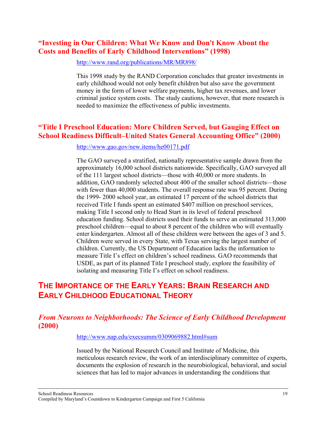## <span id="page-22-0"></span>**"Investing in Our Children: What We Know and Don't Know About the Costs and Benefits of Early Childhood Interventions" (1998)**

<http://www.rand.org/publications/MR/MR898/>

This 1998 study by the RAND Corporation concludes that greater investments in early childhood would not only benefit children but also save the government money in the form of lower welfare payments, higher tax revenues, and lower criminal justice system costs. The study cautions, however, that more research is needed to maximize the effectiveness of public investments.

## **"Title I Preschool Education: More Children Served, but Gauging Effect on School Readiness Difficult–United States General Accounting Office" (2000)**

<http://www.gao.gov/new.items/he00171.pdf>

The GAO surveyed a stratified, nationally representative sample drawn from the approximately 16,000 school districts nationwide. Specifically, GAO surveyed all of the 111 largest school districts—those with 40,000 or more students. In addition, GAO randomly selected about 400 of the smaller school districts—those with fewer than 40,000 students. The overall response rate was 95 percent. During the 1999- 2000 school year, an estimated 17 percent of the school districts that received Title I funds spent an estimated \$407 million on preschool services, making Title I second only to Head Start in its level of federal preschool education funding. School districts used their funds to serve an estimated 313,000 preschool children—equal to about 8 percent of the children who will eventually enter kindergarten. Almost all of these children were between the ages of 3 and 5. Children were served in every State, with Texas serving the largest number of children. Currently, the US Department of Education lacks the information to measure Title I's effect on children's school readiness. GAO recommends that USDE, as part of its planned Title I preschool study, explore the feasibility of isolating and measuring Title I's effect on school readiness.

## **THE IMPORTANCE OF THE EARLY YEARS: BRAIN RESEARCH AND EARLY CHILDHOOD EDUCATIONAL THEORY**

## *From Neurons to Neighborhoods: The Science of Early Childhood Development* **(2000)**

[http://www.nap.edu/execsumm/0309069882.html#sum](http://www.nap.edu/execsumm/0309069882.html)

Issued by the National Research Council and Institute of Medicine, this meticulous research review, the work of an interdisciplinary committee of experts, documents the explosion of research in the neurobiological, behavioral, and social sciences that has led to major advances in understanding the conditions that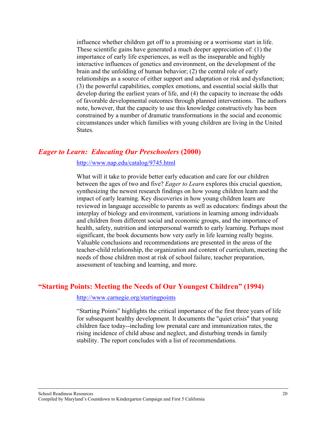<span id="page-23-0"></span>influence whether children get off to a promising or a worrisome start in life. These scientific gains have generated a much deeper appreciation of: (1) the importance of early life experiences, as well as the inseparable and highly interactive influences of genetics and environment, on the development of the brain and the unfolding of human behavior; (2) the central role of early relationships as a source of either support and adaptation or risk and dysfunction; (3) the powerful capabilities, complex emotions, and essential social skills that develop during the earliest years of life, and (4) the capacity to increase the odds of favorable developmental outcomes through planned interventions. The authors note, however, that the capacity to use this knowledge constructively has been constrained by a number of dramatic transformations in the social and economic circumstances under which families with young children are living in the United States.

#### *Eager to Learn: Educating Our Preschoolers* **(2000)**

#### <http://www.nap.edu/catalog/9745.html>

What will it take to provide better early education and care for our children between the ages of two and five? *Eager to Learn* explores this crucial question, synthesizing the newest research findings on how young children learn and the impact of early learning. Key discoveries in how young children learn are reviewed in language accessible to parents as well as educators: findings about the interplay of biology and environment, variations in learning among individuals and children from different social and economic groups, and the importance of health, safety, nutrition and interpersonal warmth to early learning. Perhaps most significant, the book documents how very early in life learning really begins. Valuable conclusions and recommendations are presented in the areas of the teacher-child relationship, the organization and content of curriculum, meeting the needs of those children most at risk of school failure, teacher preparation, assessment of teaching and learning, and more.

#### **"Starting Points: Meeting the Needs of Our Youngest Children" (1994)**

#### <http://www.carnegie.org/startingpoints>

"Starting Points" highlights the critical importance of the first three years of life for subsequent healthy development. It documents the "quiet crisis" that young children face today--including low prenatal care and immunization rates, the rising incidence of child abuse and neglect, and disturbing trends in family stability. The report concludes with a list of recommendations.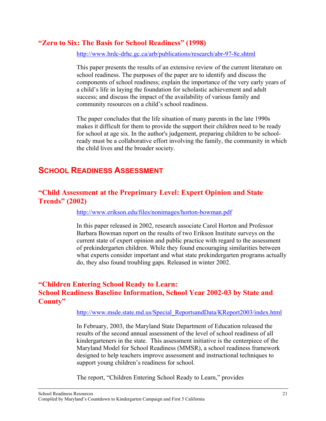## <span id="page-24-0"></span>**"Zero to Six: The Basis for School Readiness" (1998)**

<http://www.hrdc-drhc.gc.ca/arb/publications/research/abr-97-8e.shtml>

This paper presents the results of an extensive review of the current literature on school readiness. The purposes of the paper are to identify and discuss the components of school readiness; explain the importance of the very early years of a child's life in laying the foundation for scholastic achievement and adult success; and discuss the impact of the availability of various family and community resources on a child's school readiness.

The paper concludes that the life situation of many parents in the late 1990s makes it difficult for them to provide the support their children need to be ready for school at age six. In the author's judgement, preparing children to be schoolready must be a collaborative effort involving the family, the community in which the child lives and the broader society.

## **SCHOOL READINESS ASSESSMENT**

## **"Child Assessment at the Preprimary Level: Expert Opinion and State Trends" (2002)**

<http://www.erikson.edu/files/nonimages/horton-bowman.pdf>

In this paper released in 2002, research associate Carol Horton and Professor Barbara Bowman report on the results of two Erikson Institute surveys on the current state of expert opinion and public practice with regard to the assessment of prekindergarten children. While they found encouraging similarities between what experts consider important and what state prekindergarten programs actually do, they also found troubling gaps. Released in winter 2002.

## **"Children Entering School Ready to Learn: School Readiness Baseline Information, School Year 2002-03 by State and County"**

[http://www.msde.state.md.us/Special\\_ReportsandData/KReport2003/index.html](http://www.msde.state.md.us/Special_ReportsandData/KReport2003/index.html)

In February, 2003, the Maryland State Department of Education released the results of the second annual assessment of the level of school readiness of all kindergarteners in the state. This assessment initiative is the centerpiece of the Maryland Model for School Readiness (MMSR), a school readiness framework designed to help teachers improve assessment and instructional techniques to support young children's readiness for school.

The report, "Children Entering School Ready to Learn," provides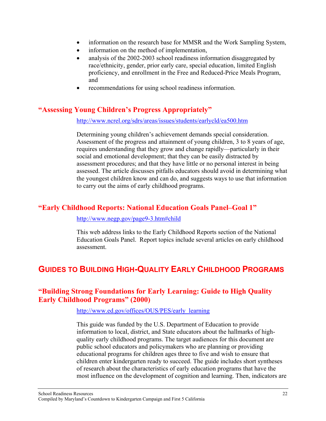- <span id="page-25-0"></span>• information on the research base for MMSR and the Work Sampling System,
- information on the method of implementation,
- analysis of the 2002-2003 school readiness information disaggregated by race/ethnicity, gender, prior early care, special education, limited English proficiency, and enrollment in the Free and Reduced-Price Meals Program, and
- recommendations for using school readiness information.

## **"Assessing Young Children's Progress Appropriately"**

#### <http://www.ncrel.org/sdrs/areas/issues/students/earlycld/ea500.htm>

Determining young children's achievement demands special consideration. Assessment of the progress and attainment of young children, 3 to 8 years of age, requires understanding that they grow and change rapidly—particularly in their social and emotional development; that they can be easily distracted by assessment procedures; and that they have little or no personal interest in being assessed. The article discusses pitfalls educators should avoid in determining what the youngest children know and can do, and suggests ways to use that information to carry out the aims of early childhood programs.

## **"Early Childhood Reports: National Education Goals Panel–Goal 1"**

[http://www.negp.gov/page9-3.htm#child](http://www.negp.gov/page9-3.htm)

This web address links to the Early Childhood Reports section of the National Education Goals Panel. Report topics include several articles on early childhood assessment.

## **GUIDES TO BUILDING HIGH-QUALITY EARLY CHILDHOOD PROGRAMS**

## **"Building Strong Foundations for Early Learning: Guide to High Quality Early Childhood Programs" (2000)**

#### [http://www.ed.gov/offices/OUS/PES/early\\_learning](http://www.ed.gov/offices/OUS/PES/early_learning)

This guide was funded by the U.S. Department of Education to provide information to local, district, and State educators about the hallmarks of highquality early childhood programs. The target audiences for this document are public school educators and policymakers who are planning or providing educational programs for children ages three to five and wish to ensure that children enter kindergarten ready to succeed. The guide includes short syntheses of research about the characteristics of early education programs that have the most influence on the development of cognition and learning. Then, indicators are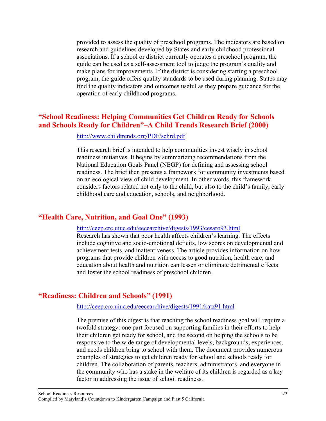<span id="page-26-0"></span>provided to assess the quality of preschool programs. The indicators are based on research and guidelines developed by States and early childhood professional associations. If a school or district currently operates a preschool program, the guide can be used as a self-assessment tool to judge the program's quality and make plans for improvements. If the district is considering starting a preschool program, the guide offers quality standards to be used during planning. States may find the quality indicators and outcomes useful as they prepare guidance for the operation of early childhood programs.

### **"School Readiness: Helping Communities Get Children Ready for Schools and Schools Ready for Children"–A Child Trends Research Brief (2000)**

#### <http://www.childtrends.org/PDF/schrd.pdf>

This research brief is intended to help communities invest wisely in school readiness initiatives. It begins by summarizing recommendations from the National Education Goals Panel (NEGP) for defining and assessing school readiness. The brief then presents a framework for community investments based on an ecological view of child development. In other words, this framework considers factors related not only to the child, but also to the child's family, early childhood care and education, schools, and neighborhood.

## **"Health Care, Nutrition, and Goal One" (1993)**

#### <http://ceep.crc.uiuc.edu/eecearchive/digests/1993/cesaro93.html>

Research has shown that poor health affects children's learning. The effects include cognitive and socio-emotional deficits, low scores on developmental and achievement tests, and inattentiveness. The article provides information on how programs that provide children with access to good nutrition, health care, and education about health and nutrition can lessen or eliminate detrimental effects and foster the school readiness of preschool children.

#### **"Readiness: Children and Schools" (1991)**

#### <http://ceep.crc.uiuc.edu/eecearchive/digests/1991/katz91.html>

The premise of this digest is that reaching the school readiness goal will require a twofold strategy: one part focused on supporting families in their efforts to help their children get ready for school, and the second on helping the schools to be responsive to the wide range of developmental levels, backgrounds, experiences, and needs children bring to school with them. The document provides numerous examples of strategies to get children ready for school and schools ready for children. The collaboration of parents, teachers, administrators, and everyone in the community who has a stake in the welfare of its children is regarded as a key factor in addressing the issue of school readiness.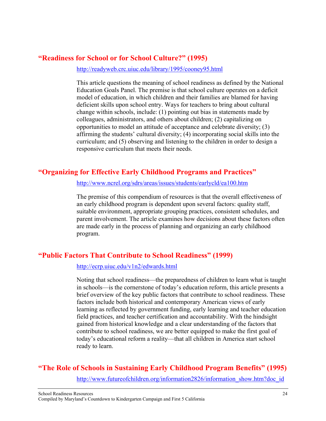## <span id="page-27-0"></span>**"Readiness for School or for School Culture?" (1995)**

<http://readyweb.crc.uiuc.edu/library/1995/cooney95.html>

This article questions the meaning of school readiness as defined by the National Education Goals Panel. The premise is that school culture operates on a deficit model of education, in which children and their families are blamed for having deficient skills upon school entry. Ways for teachers to bring about cultural change within schools, include: (1) pointing out bias in statements made by colleagues, administrators, and others about children; (2) capitalizing on opportunities to model an attitude of acceptance and celebrate diversity; (3) affirming the students' cultural diversity; (4) incorporating social skills into the curriculum; and (5) observing and listening to the children in order to design a responsive curriculum that meets their needs.

## **"Organizing for Effective Early Childhood Programs and Practices"**

<http://www.ncrel.org/sdrs/areas/issues/students/earlycld/ea100.htm>

The premise of this compendium of resources is that the overall effectiveness of an early childhood program is dependent upon several factors: quality staff, suitable environment, appropriate grouping practices, consistent schedules, and parent involvement. The article examines how decisions about these factors often are made early in the process of planning and organizing an early childhood program.

## **"Public Factors That Contribute to School Readiness" (1999)**

<http://ecrp.uiuc.edu/v1n2/edwards.html>

Noting that school readiness—the preparedness of children to learn what is taught in schools—is the cornerstone of today's education reform, this article presents a brief overview of the key public factors that contribute to school readiness. These factors include both historical and contemporary American views of early learning as reflected by government funding, early learning and teacher education field practices, and teacher certification and accountability. With the hindsight gained from historical knowledge and a clear understanding of the factors that contribute to school readiness, we are better equipped to make the first goal of today's educational reform a reality—that all children in America start school ready to learn.

## **"The Role of Schools in Sustaining Early Childhood Program Benefits" (1995)**

http://www.futureofchildren.org/information2826/information\_show.htm?doc\_id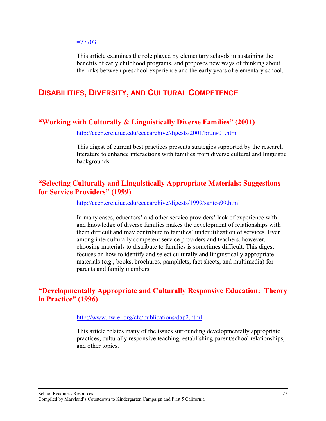#### <span id="page-28-0"></span> $=77703$

This article examines the role played by elementary schools in sustaining the benefits of early childhood programs, and proposes new ways of thinking about the links between preschool experience and the early years of elementary school.

## **DISABILITIES, DIVERSITY, AND CULTURAL COMPETENCE**

## **"Working with Culturally & Linguistically Diverse Families" (2001)**

<http://ceep.crc.uiuc.edu/eecearchive/digests/2001/bruns01.html>

This digest of current best practices presents strategies supported by the research literature to enhance interactions with families from diverse cultural and linguistic backgrounds.

## **"Selecting Culturally and Linguistically Appropriate Materials: Suggestions for Service Providers" (1999)**

<http://ceep.crc.uiuc.edu/eecearchive/digests/1999/santos99.html>

In many cases, educators' and other service providers' lack of experience with and knowledge of diverse families makes the development of relationships with them difficult and may contribute to families' underutilization of services. Even among interculturally competent service providers and teachers, however, choosing materials to distribute to families is sometimes difficult. This digest focuses on how to identify and select culturally and linguistically appropriate materials (e.g., books, brochures, pamphlets, fact sheets, and multimedia) for parents and family members.

## **"Developmentally Appropriate and Culturally Responsive Education: Theory in Practice" (1996)**

#### <http://www.nwrel.org/cfc/publications/dap2.html>

This article relates many of the issues surrounding developmentally appropriate practices, culturally responsive teaching, establishing parent/school relationships, and other topics.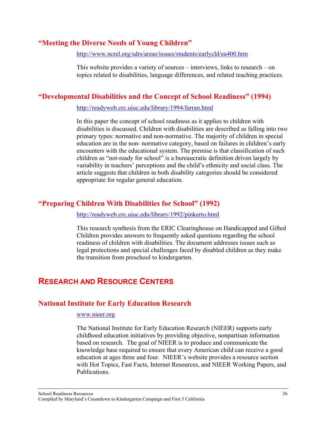## <span id="page-29-0"></span>**"Meeting the Diverse Needs of Young Children"**

<http://www.ncrel.org/sdrs/areas/issues/students/earlycld/ea400.htm>

This website provides a variety of sources – interviews, links to research – on topics related to disabilities, language differences, and related teaching practices.

## **"Developmental Disabilities and the Concept of School Readiness" (1994)**

<http://readyweb.crc.uiuc.edu/library/1994/farran.html>

In this paper the concept of school readiness as it applies to children with disabilities is discussed. Children with disabilities are described as falling into two primary types: normative and non-normative. The majority of children in special education are in the non- normative category, based on failures in children's early encounters with the educational system. The premise is that classification of such children as "not-ready for school" is a bureaucratic definition driven largely by variability in teachers' perceptions and the child's ethnicity and social class. The article suggests that children in both disability categories should be considered appropriate for regular general education.

## **"Preparing Children With Disabilities for School" (1992)**

<http://readyweb.crc.uiuc.edu/library/1992/pinkerto.html>

This research synthesis from the ERIC Clearinghouse on Handicapped and Gifted Children provides answers to frequently asked questions regarding the school readiness of children with disabilities. The document addresses issues such as legal protections and special challenges faced by disabled children as they make the transition from preschool to kindergarten.

## **RESEARCH AND RESOURCE CENTERS**

## **National Institute for Early Education Research**

#### [www.nieer.org](http://www.nieer.org/)

The National Institute for Early Education Research (NIEER) supports early childhood education initiatives by providing objective, nonpartisan information based on research. The goal of NIEER is to produce and communicate the knowledge base required to ensure that every American child can receive a good education at ages three and four. NIEER's website provides a resource section with Hot Topics, Fast Facts, Internet Resources, and NIEER Working Papers, and Publications.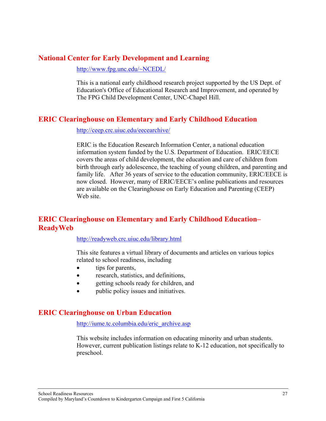## <span id="page-30-0"></span>**National Center for Early Development and Learning**

<http://www.fpg.unc.edu/~NCEDL/>

This is a national early childhood research project supported by the US Dept. of Education's Office of Educational Research and Improvement, and operated by The FPG Child Development Center, UNC-Chapel Hill.

## **ERIC Clearinghouse on Elementary and Early Childhood Education**

<http://ceep.crc.uiuc.edu/eecearchive/>

ERIC is the Education Research Information Center, a national education information system funded by the U.S. Department of Education. ERIC/EECE covers the areas of child development, the education and care of children from birth through early adolescence, the teaching of young children, and parenting and family life. After 36 years of service to the education community, ERIC/EECE is now closed. However, many of ERIC/EECE's online publications and resources are available on the Clearinghouse on Early Education and Parenting (CEEP) Web site.

## **ERIC Clearinghouse on Elementary and Early Childhood Education– ReadyWeb**

#### <http://readyweb.crc.uiuc.edu/library.html>

This site features a virtual library of documents and articles on various topics related to school readiness, including

- tips for parents,
- research, statistics, and definitions,
- getting schools ready for children, and
- public policy issues and initiatives.

## **ERIC Clearinghouse on Urban Education**

[http://iume.tc.columbia.edu/eric\\_archive.asp](http://iume.tc.columbia.edu/eric_archive.asp)

This website includes information on educating minority and urban students. However, current publication listings relate to K-12 education, not specifically to preschool.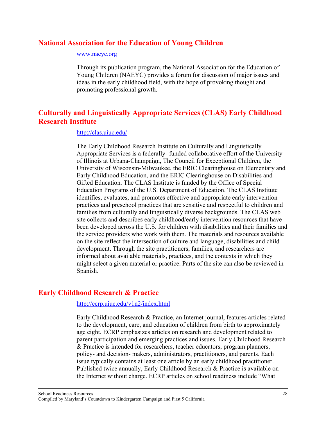## <span id="page-31-0"></span>**National Association for the Education of Young Children**

#### [www.naeyc.org](http://www.naeyc.org/)

Through its publication program, the National Association for the Education of Young Children (NAEYC) provides a forum for discussion of major issues and ideas in the early childhood field, with the hope of provoking thought and promoting professional growth.

## **Culturally and Linguistically Appropriate Services (CLAS) Early Childhood Research Institute**

#### <http://clas.uiuc.edu/>

The Early Childhood Research Institute on Culturally and Linguistically Appropriate Services is a federally- funded collaborative effort of the University of Illinois at Urbana-Champaign, The Council for Exceptional Children, the University of Wisconsin-Milwaukee, the ERIC Clearinghouse on Elementary and Early Childhood Education, and the ERIC Clearinghouse on Disabilities and Gifted Education. The CLAS Institute is funded by the Office of Special Education Programs of the U.S. Department of Education. The CLAS Institute identifies, evaluates, and promotes effective and appropriate early intervention practices and preschool practices that are sensitive and respectful to children and families from culturally and linguistically diverse backgrounds. The CLAS web site collects and describes early childhood/early intervention resources that have been developed across the U.S. for children with disabilities and their families and the service providers who work with them. The materials and resources available on the site reflect the intersection of culture and language, disabilities and child development. Through the site practitioners, families, and researchers are informed about available materials, practices, and the contexts in which they might select a given material or practice. Parts of the site can also be reviewed in Spanish.

## **Early Childhood Research & Practice**

#### <http://ecrp.uiuc.edu/v1n2/index.html>

Early Childhood Research & Practice, an Internet journal, features articles related to the development, care, and education of children from birth to approximately age eight. ECRP emphasizes articles on research and development related to parent participation and emerging practices and issues. Early Childhood Research & Practice is intended for researchers, teacher educators, program planners, policy- and decision- makers, administrators, practitioners, and parents. Each issue typically contains at least one article by an early childhood practitioner. Published twice annually, Early Childhood Research & Practice is available on the Internet without charge. ECRP articles on school readiness include "What